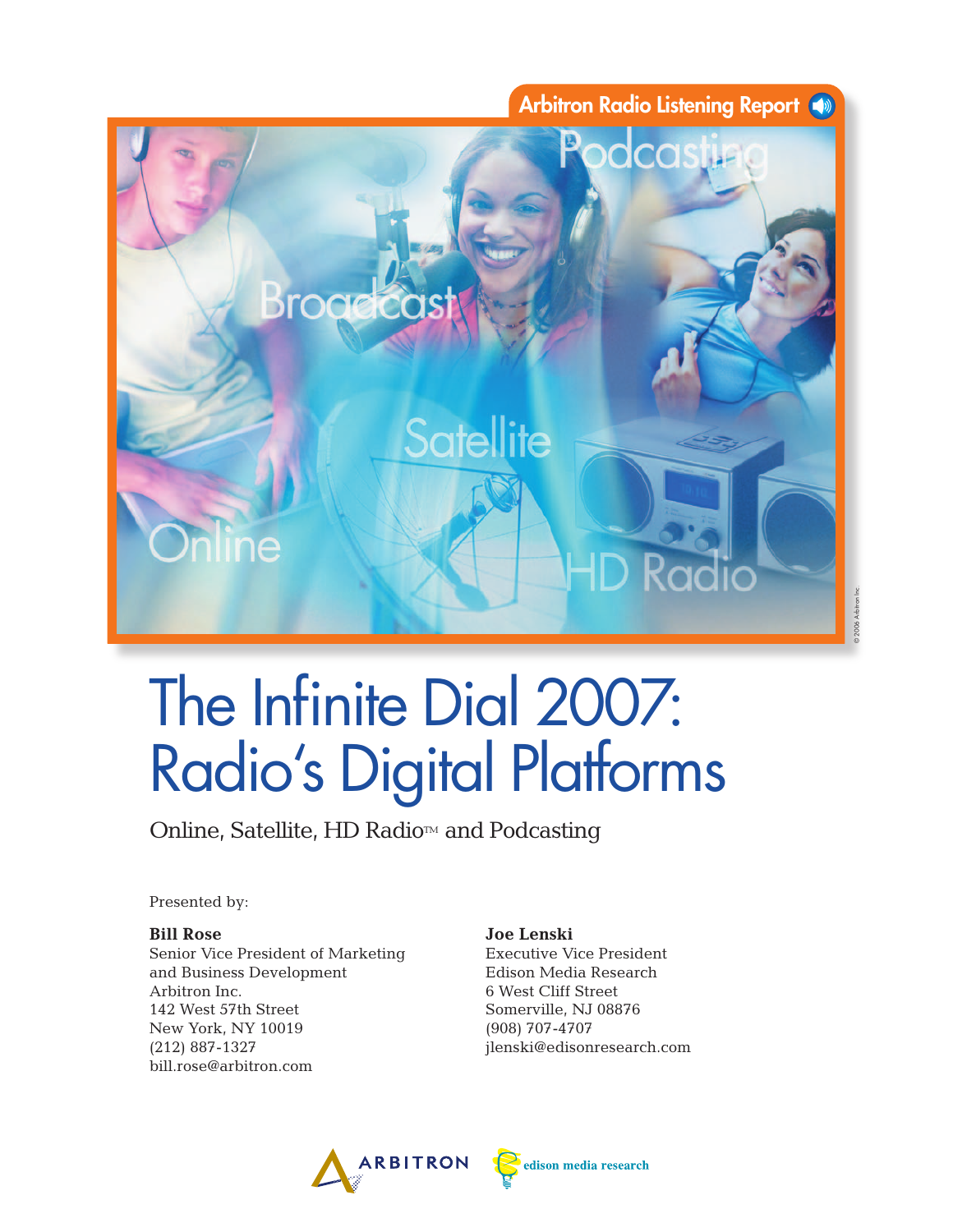

# The Infinite Dial 2007: Radio's Digital Platforms

Online, Satellite, HD Radio<sup>™</sup> and Podcasting

Presented by:

#### **Bill Rose**

Senior Vice President of Marketing and Business Development Arbitron Inc. 142 West 57th Street New York, NY 10019 (212) 887-1327 bill.rose@arbitron.com

#### **Joe Lenski**

Executive Vice President Edison Media Research 6 West Cliff Street Somerville, NJ 08876 (908) 707-4707 jlenski@edisonresearch.com



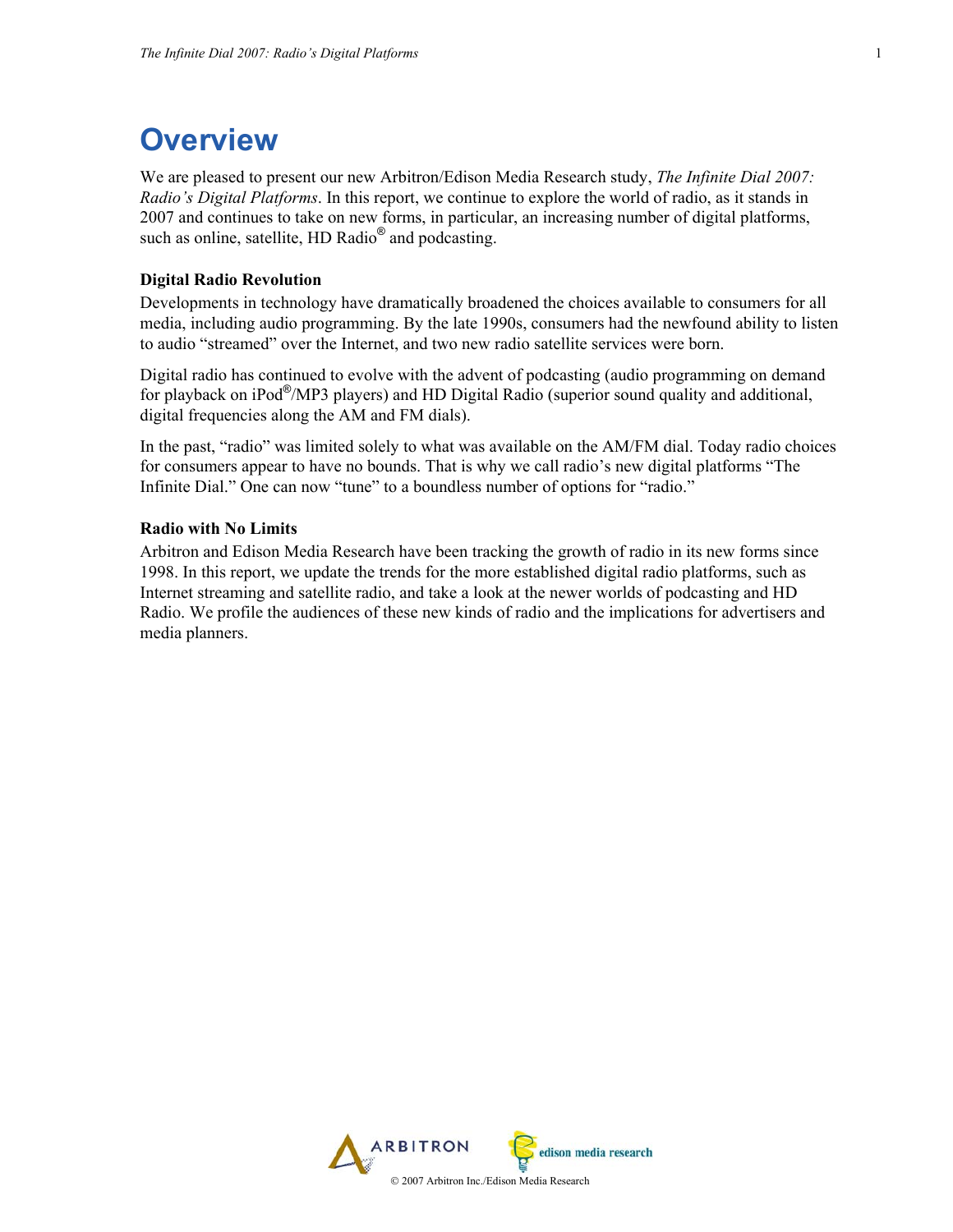# **Overview**

We are pleased to present our new Arbitron/Edison Media Research study, *The Infinite Dial 2007: Radio's Digital Platforms*. In this report, we continue to explore the world of radio, as it stands in 2007 and continues to take on new forms, in particular, an increasing number of digital platforms, such as online, satellite, HD Radio<sup>®</sup> and podcasting.

#### **Digital Radio Revolution**

Developments in technology have dramatically broadened the choices available to consumers for all media, including audio programming. By the late 1990s, consumers had the newfound ability to listen to audio "streamed" over the Internet, and two new radio satellite services were born.

Digital radio has continued to evolve with the advent of podcasting (audio programming on demand for playback on iPod®/MP3 players) and HD Digital Radio (superior sound quality and additional, digital frequencies along the AM and FM dials).

In the past, "radio" was limited solely to what was available on the AM/FM dial. Today radio choices for consumers appear to have no bounds. That is why we call radio's new digital platforms "The Infinite Dial." One can now "tune" to a boundless number of options for "radio."

#### **Radio with No Limits**

Arbitron and Edison Media Research have been tracking the growth of radio in its new forms since 1998. In this report, we update the trends for the more established digital radio platforms, such as Internet streaming and satellite radio, and take a look at the newer worlds of podcasting and HD Radio. We profile the audiences of these new kinds of radio and the implications for advertisers and media planners.

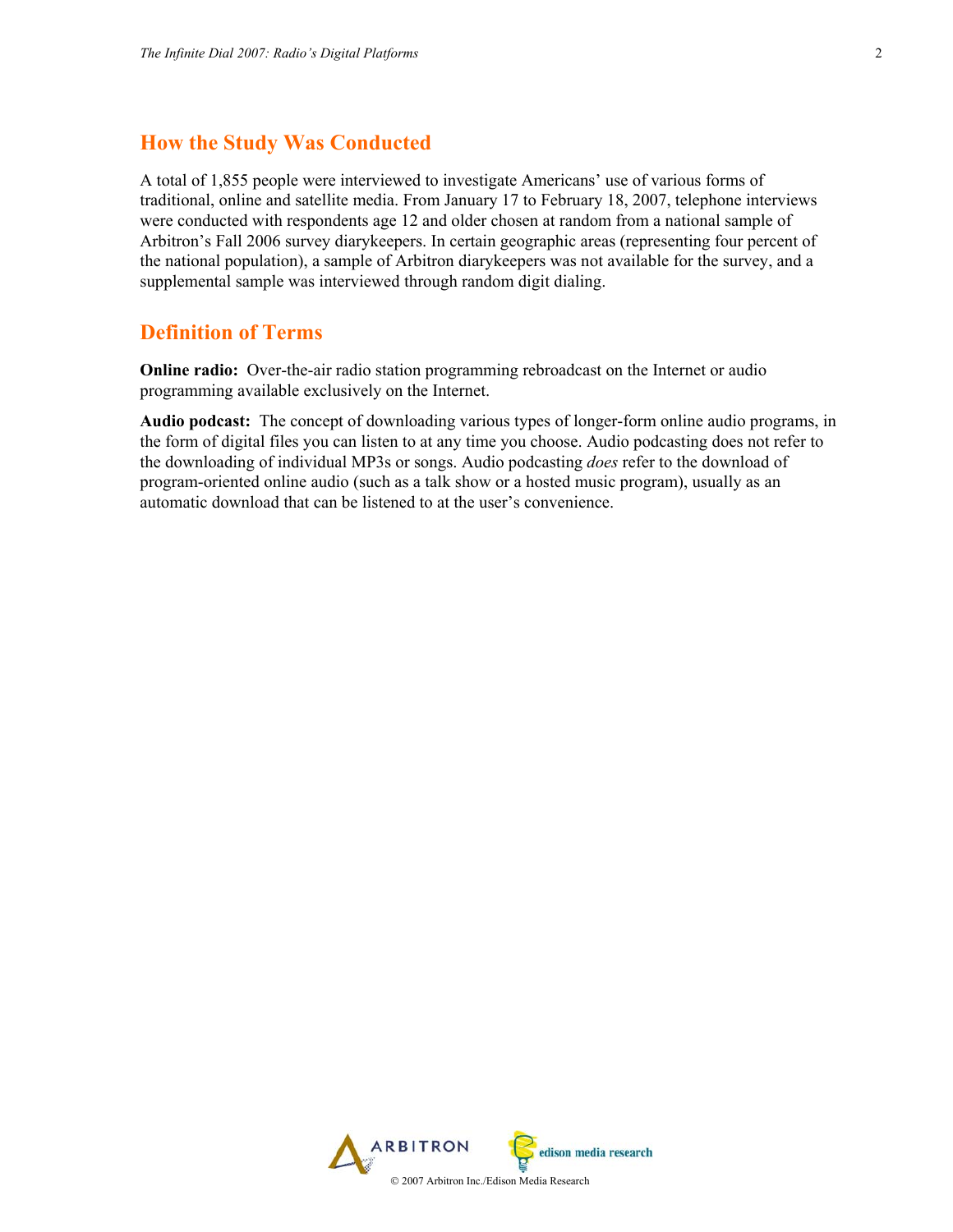### **How the Study Was Conducted**

A total of 1,855 people were interviewed to investigate Americans' use of various forms of traditional, online and satellite media. From January 17 to February 18, 2007, telephone interviews were conducted with respondents age 12 and older chosen at random from a national sample of Arbitron's Fall 2006 survey diarykeepers. In certain geographic areas (representing four percent of the national population), a sample of Arbitron diarykeepers was not available for the survey, and a supplemental sample was interviewed through random digit dialing.

### **Definition of Terms**

**Online radio:** Over-the-air radio station programming rebroadcast on the Internet or audio programming available exclusively on the Internet.

**Audio podcast:** The concept of downloading various types of longer-form online audio programs, in the form of digital files you can listen to at any time you choose. Audio podcasting does not refer to the downloading of individual MP3s or songs. Audio podcasting *does* refer to the download of program-oriented online audio (such as a talk show or a hosted music program), usually as an automatic download that can be listened to at the user's convenience.

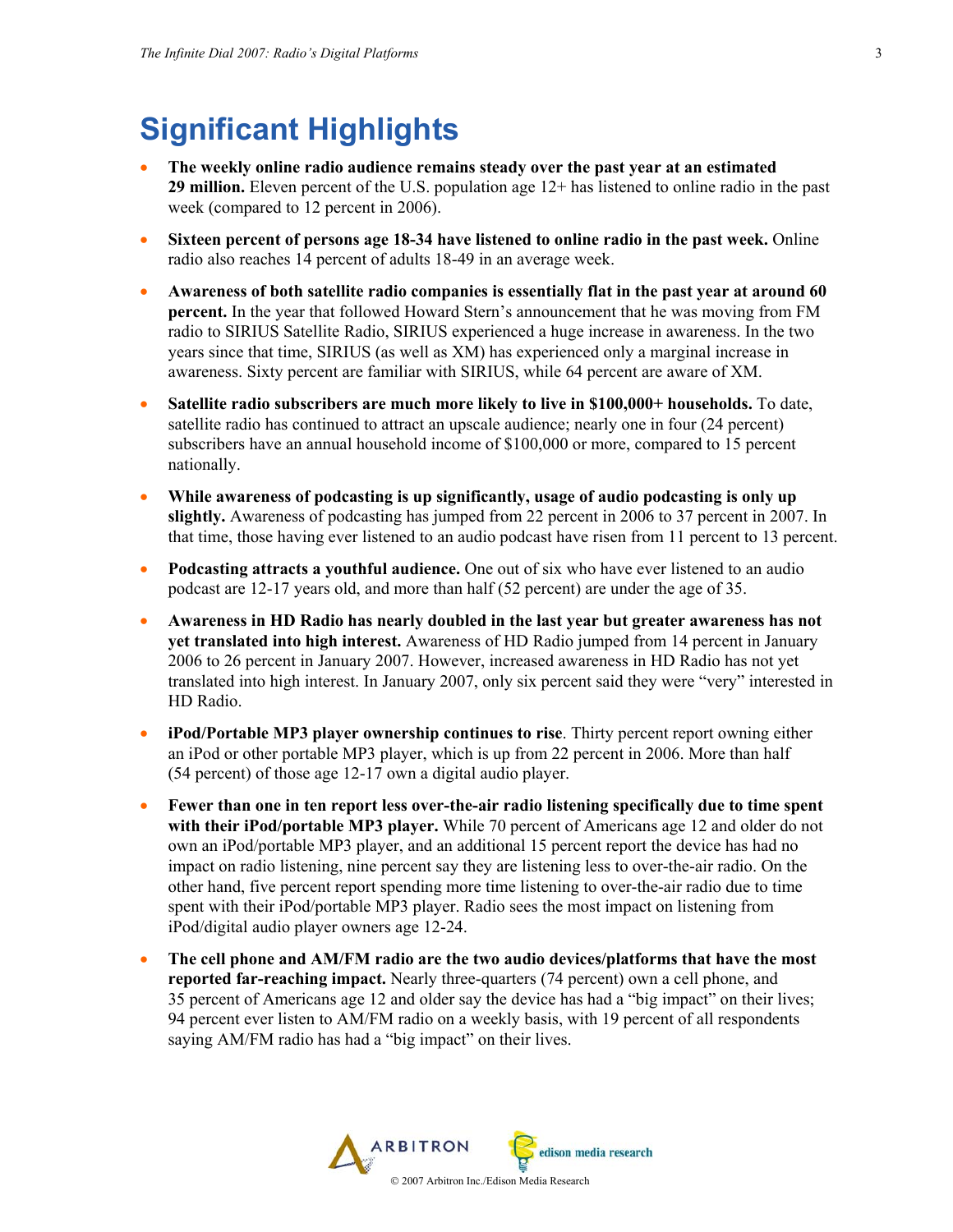# **Significant Highlights**

- **The weekly online radio audience remains steady over the past year at an estimated 29 million.** Eleven percent of the U.S. population age 12+ has listened to online radio in the past week (compared to 12 percent in 2006).
- **Sixteen percent of persons age 18-34 have listened to online radio in the past week.** Online radio also reaches 14 percent of adults 18-49 in an average week.
- **Awareness of both satellite radio companies is essentially flat in the past year at around 60 percent.** In the year that followed Howard Stern's announcement that he was moving from FM radio to SIRIUS Satellite Radio, SIRIUS experienced a huge increase in awareness. In the two years since that time, SIRIUS (as well as XM) has experienced only a marginal increase in awareness. Sixty percent are familiar with SIRIUS, while 64 percent are aware of XM.
- **Satellite radio subscribers are much more likely to live in \$100,000+ households.** To date, satellite radio has continued to attract an upscale audience; nearly one in four (24 percent) subscribers have an annual household income of \$100,000 or more, compared to 15 percent nationally.
- **While awareness of podcasting is up significantly, usage of audio podcasting is only up slightly.** Awareness of podcasting has jumped from 22 percent in 2006 to 37 percent in 2007. In that time, those having ever listened to an audio podcast have risen from 11 percent to 13 percent.
- **Podcasting attracts a youthful audience.** One out of six who have ever listened to an audio podcast are 12-17 years old, and more than half (52 percent) are under the age of 35.
- **Awareness in HD Radio has nearly doubled in the last year but greater awareness has not yet translated into high interest.** Awareness of HD Radio jumped from 14 percent in January 2006 to 26 percent in January 2007. However, increased awareness in HD Radio has not yet translated into high interest. In January 2007, only six percent said they were "very" interested in HD Radio.
- **iPod/Portable MP3 player ownership continues to rise**. Thirty percent report owning either an iPod or other portable MP3 player, which is up from 22 percent in 2006. More than half (54 percent) of those age 12-17 own a digital audio player.
- **Fewer than one in ten report less over-the-air radio listening specifically due to time spent with their iPod/portable MP3 player.** While 70 percent of Americans age 12 and older do not own an iPod/portable MP3 player, and an additional 15 percent report the device has had no impact on radio listening, nine percent say they are listening less to over-the-air radio. On the other hand, five percent report spending more time listening to over-the-air radio due to time spent with their iPod/portable MP3 player. Radio sees the most impact on listening from iPod/digital audio player owners age 12-24.
- **The cell phone and AM/FM radio are the two audio devices/platforms that have the most reported far-reaching impact.** Nearly three-quarters (74 percent) own a cell phone, and 35 percent of Americans age 12 and older say the device has had a "big impact" on their lives; 94 percent ever listen to AM/FM radio on a weekly basis, with 19 percent of all respondents saying AM/FM radio has had a "big impact" on their lives.

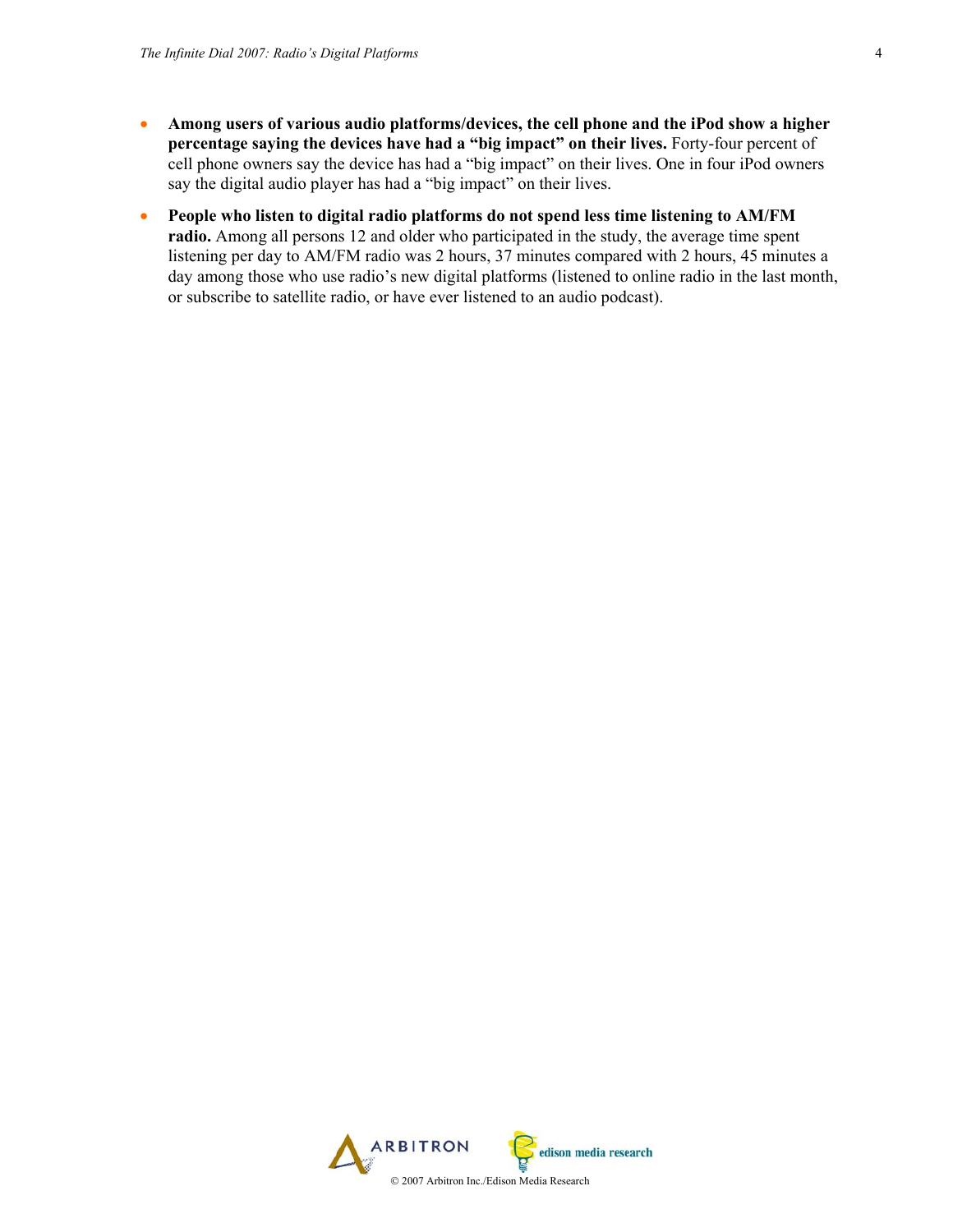- **Among users of various audio platforms/devices, the cell phone and the iPod show a higher percentage saying the devices have had a "big impact" on their lives.** Forty-four percent of cell phone owners say the device has had a "big impact" on their lives. One in four iPod owners say the digital audio player has had a "big impact" on their lives.
- **People who listen to digital radio platforms do not spend less time listening to AM/FM radio.** Among all persons 12 and older who participated in the study, the average time spent listening per day to AM/FM radio was 2 hours, 37 minutes compared with 2 hours, 45 minutes a day among those who use radio's new digital platforms (listened to online radio in the last month, or subscribe to satellite radio, or have ever listened to an audio podcast).

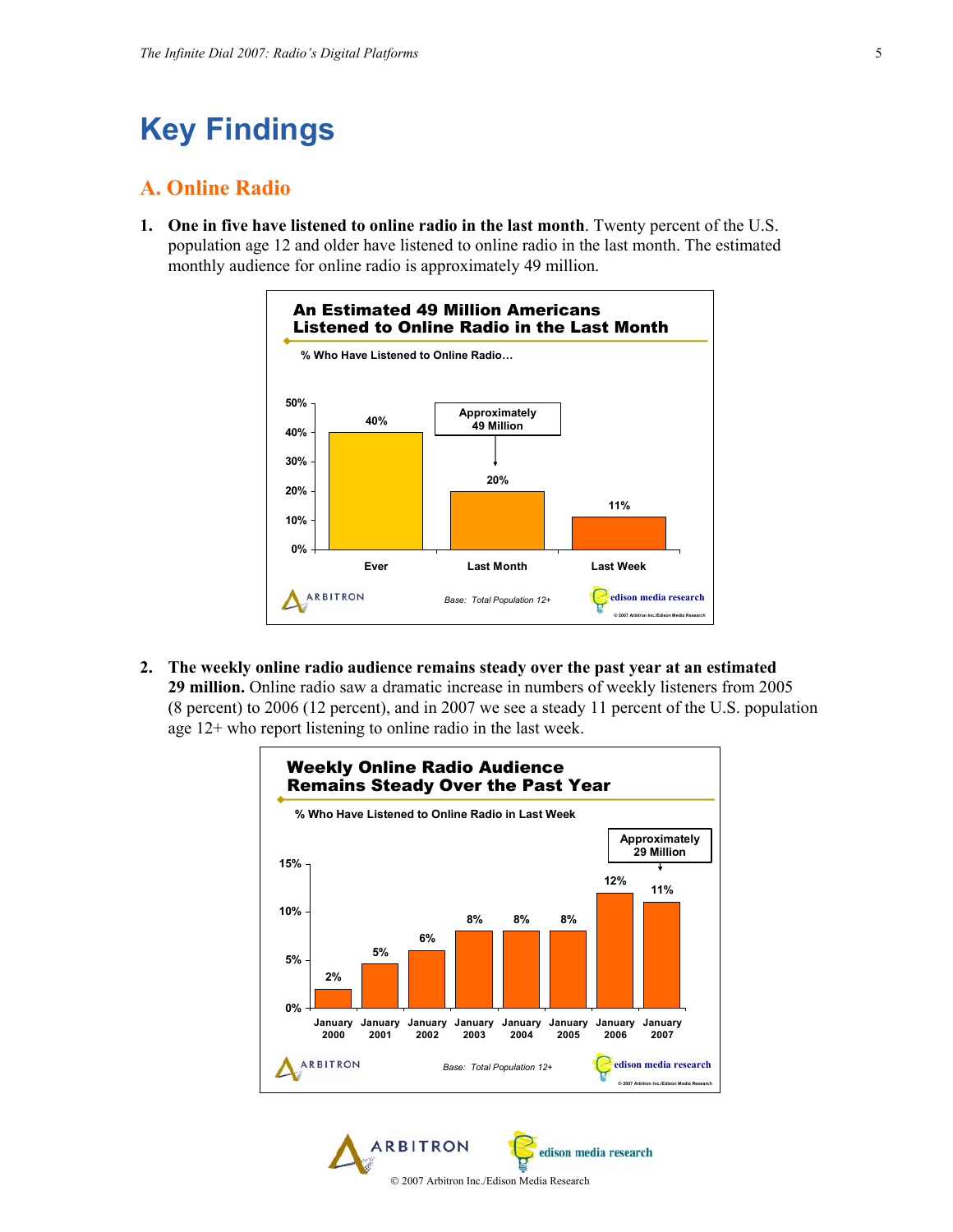# **Key Findings**

### **A. Online Radio**

**1. One in five have listened to online radio in the last month**. Twenty percent of the U.S. population age 12 and older have listened to online radio in the last month. The estimated monthly audience for online radio is approximately 49 million.



**2. The weekly online radio audience remains steady over the past year at an estimated 29 million.** Online radio saw a dramatic increase in numbers of weekly listeners from 2005 (8 percent) to 2006 (12 percent), and in 2007 we see a steady 11 percent of the U.S. population age 12+ who report listening to online radio in the last week.



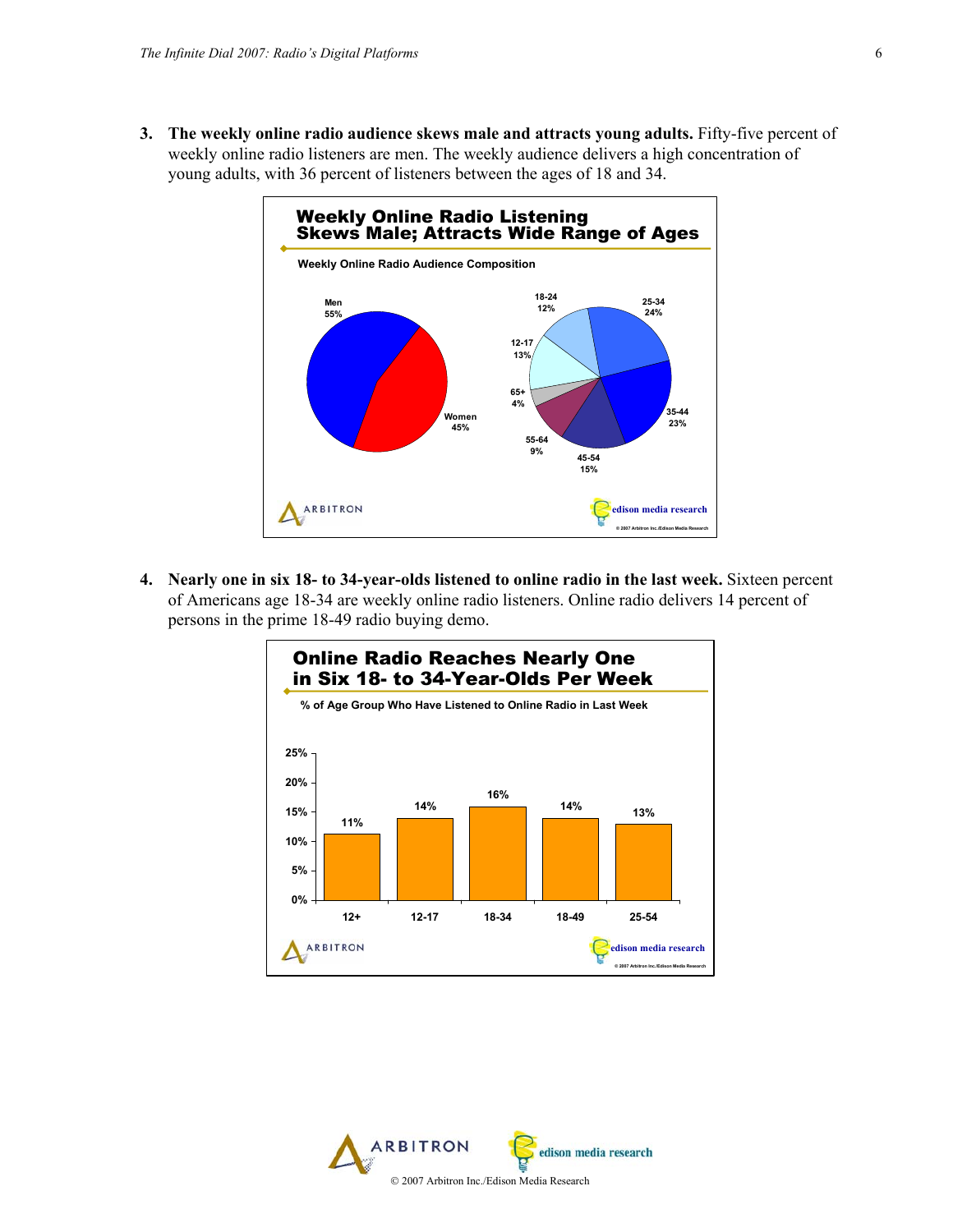**3. The weekly online radio audience skews male and attracts young adults.** Fifty-five percent of weekly online radio listeners are men. The weekly audience delivers a high concentration of young adults, with 36 percent of listeners between the ages of 18 and 34.



**4. Nearly one in six 18- to 34-year-olds listened to online radio in the last week.** Sixteen percent of Americans age 18-34 are weekly online radio listeners. Online radio delivers 14 percent of persons in the prime 18-49 radio buying demo.



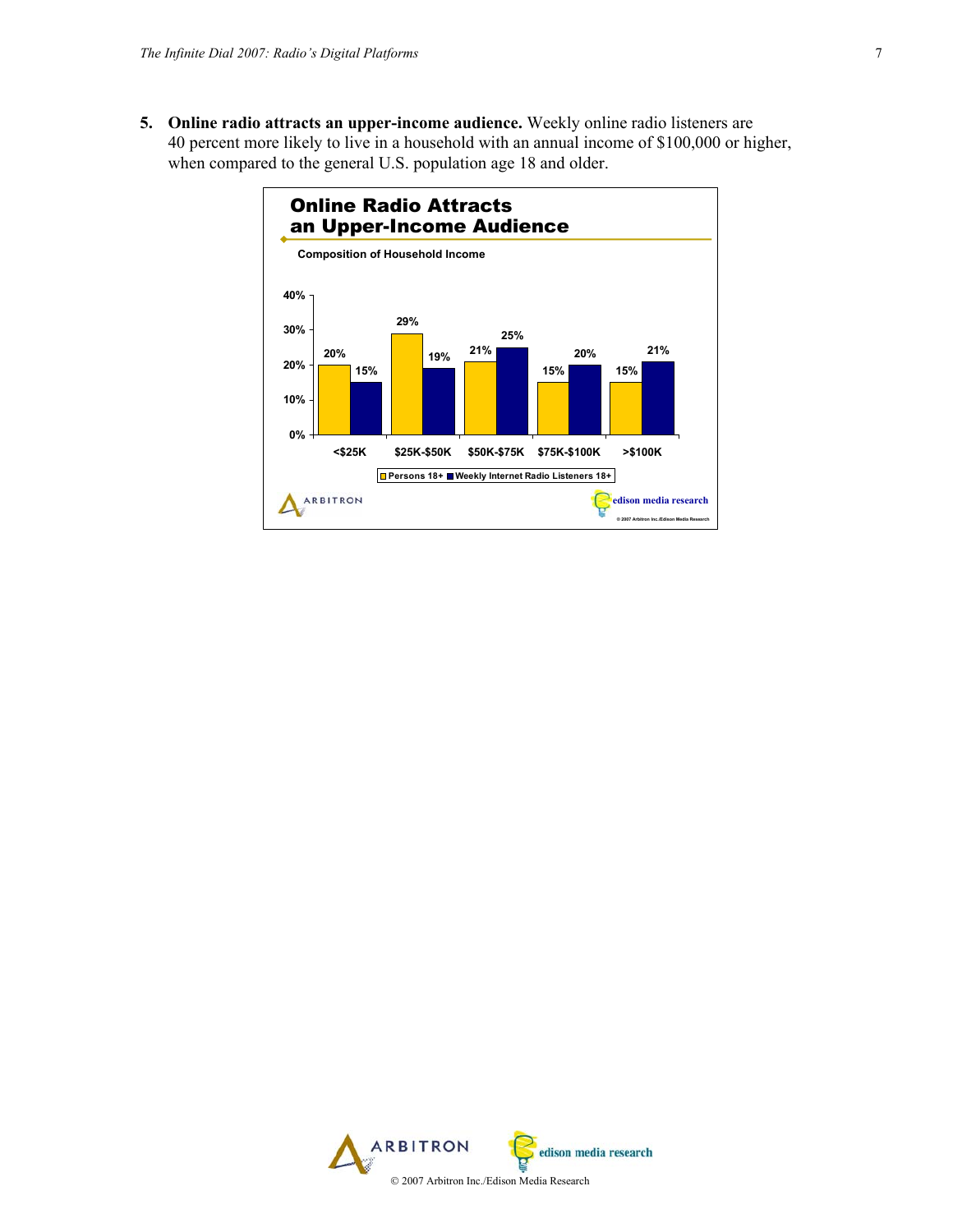**5. Online radio attracts an upper-income audience.** Weekly online radio listeners are 40 percent more likely to live in a household with an annual income of \$100,000 or higher, when compared to the general U.S. population age 18 and older.



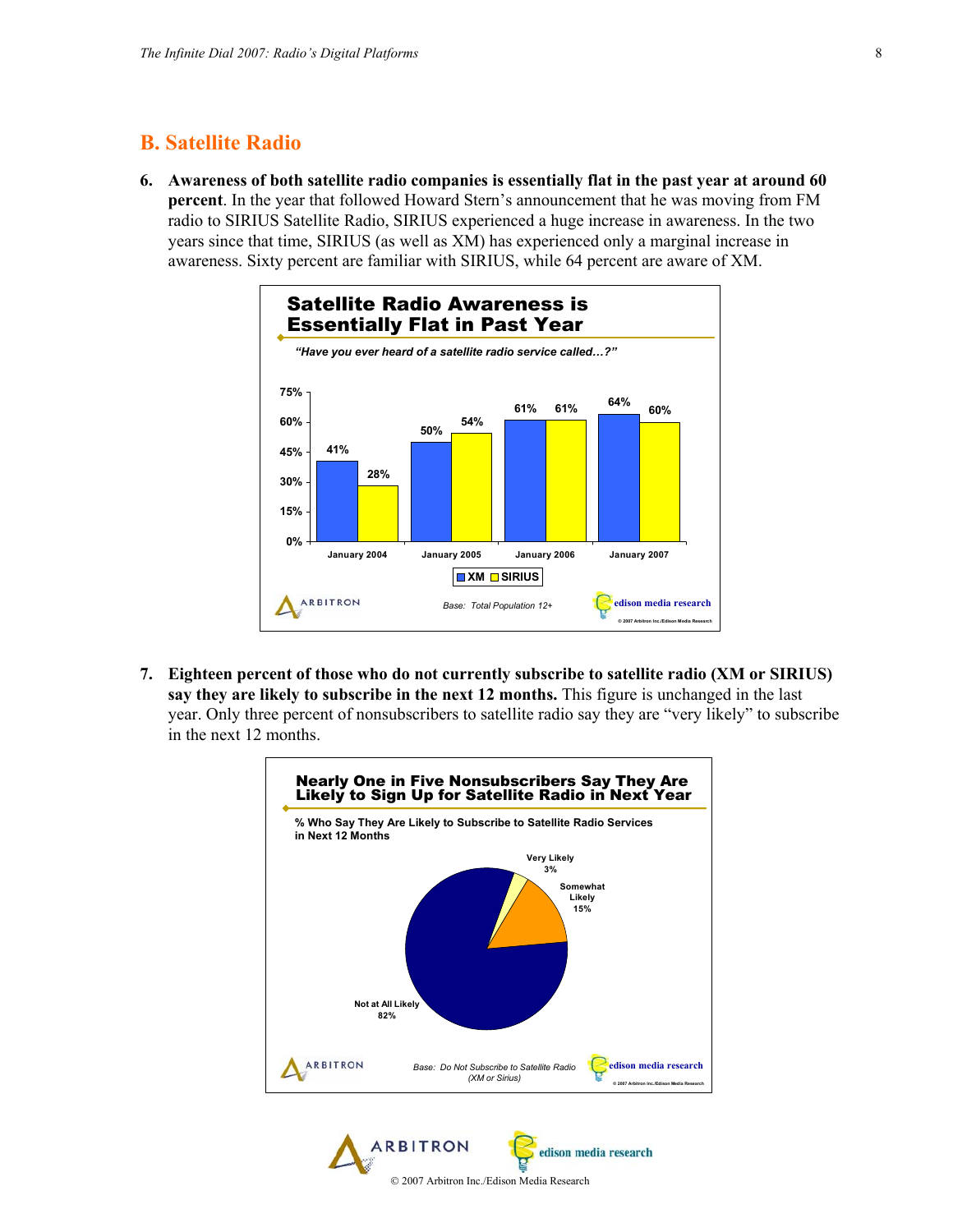### **B. Satellite Radio**

**6. Awareness of both satellite radio companies is essentially flat in the past year at around 60 percent**. In the year that followed Howard Stern's announcement that he was moving from FM radio to SIRIUS Satellite Radio, SIRIUS experienced a huge increase in awareness. In the two years since that time, SIRIUS (as well as XM) has experienced only a marginal increase in awareness. Sixty percent are familiar with SIRIUS, while 64 percent are aware of XM.



**7. Eighteen percent of those who do not currently subscribe to satellite radio (XM or SIRIUS) say they are likely to subscribe in the next 12 months.** This figure is unchanged in the last year. Only three percent of nonsubscribers to satellite radio say they are "very likely" to subscribe in the next 12 months.



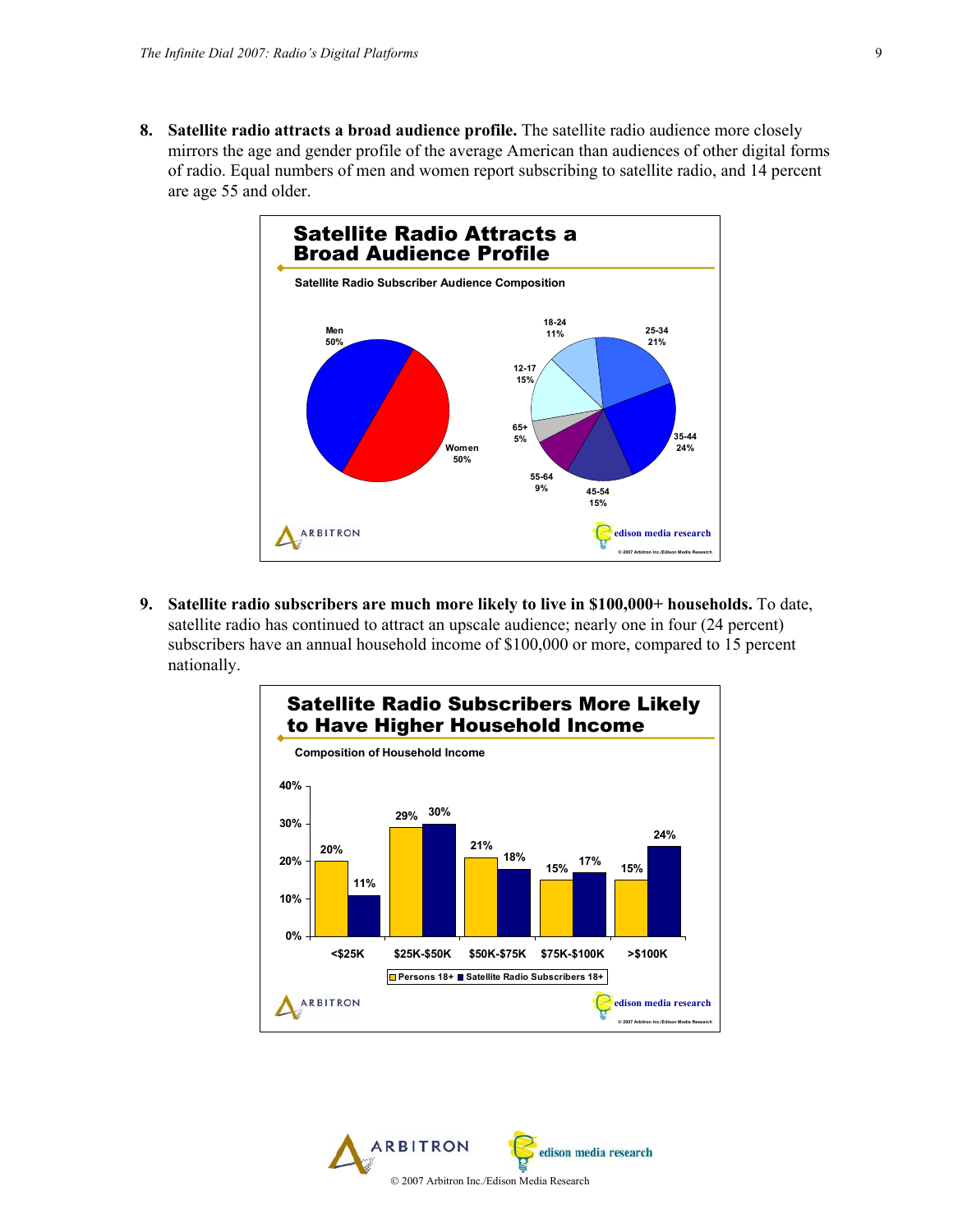**8. Satellite radio attracts a broad audience profile.** The satellite radio audience more closely mirrors the age and gender profile of the average American than audiences of other digital forms of radio. Equal numbers of men and women report subscribing to satellite radio, and 14 percent are age 55 and older.



**9. Satellite radio subscribers are much more likely to live in \$100,000+ households.** To date, satellite radio has continued to attract an upscale audience; nearly one in four (24 percent) subscribers have an annual household income of \$100,000 or more, compared to 15 percent nationally.



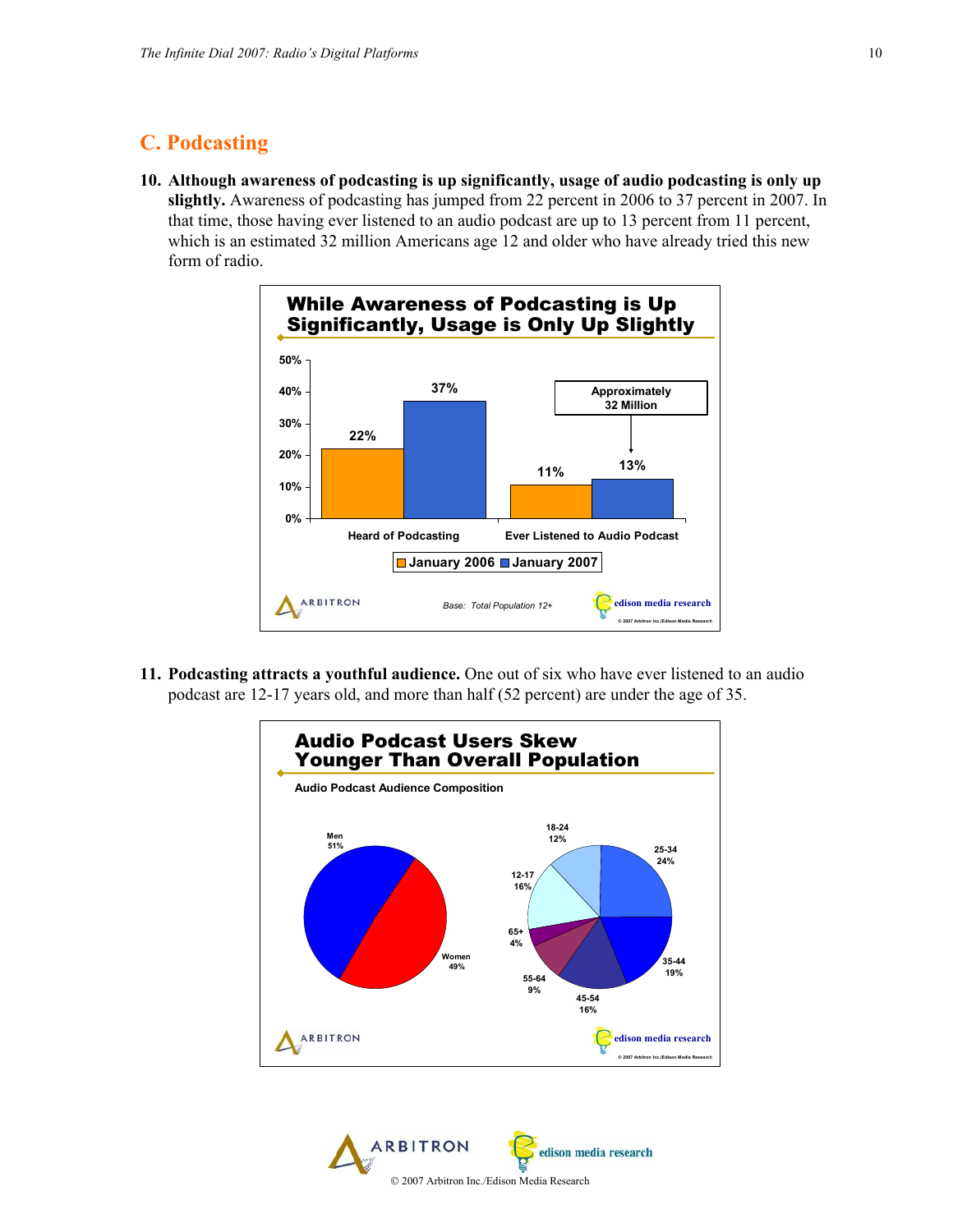# **C. Podcasting**

**10. Although awareness of podcasting is up significantly, usage of audio podcasting is only up slightly.** Awareness of podcasting has jumped from 22 percent in 2006 to 37 percent in 2007. In that time, those having ever listened to an audio podcast are up to 13 percent from 11 percent, which is an estimated 32 million Americans age 12 and older who have already tried this new form of radio.



**11. Podcasting attracts a youthful audience.** One out of six who have ever listened to an audio podcast are 12-17 years old, and more than half (52 percent) are under the age of 35.



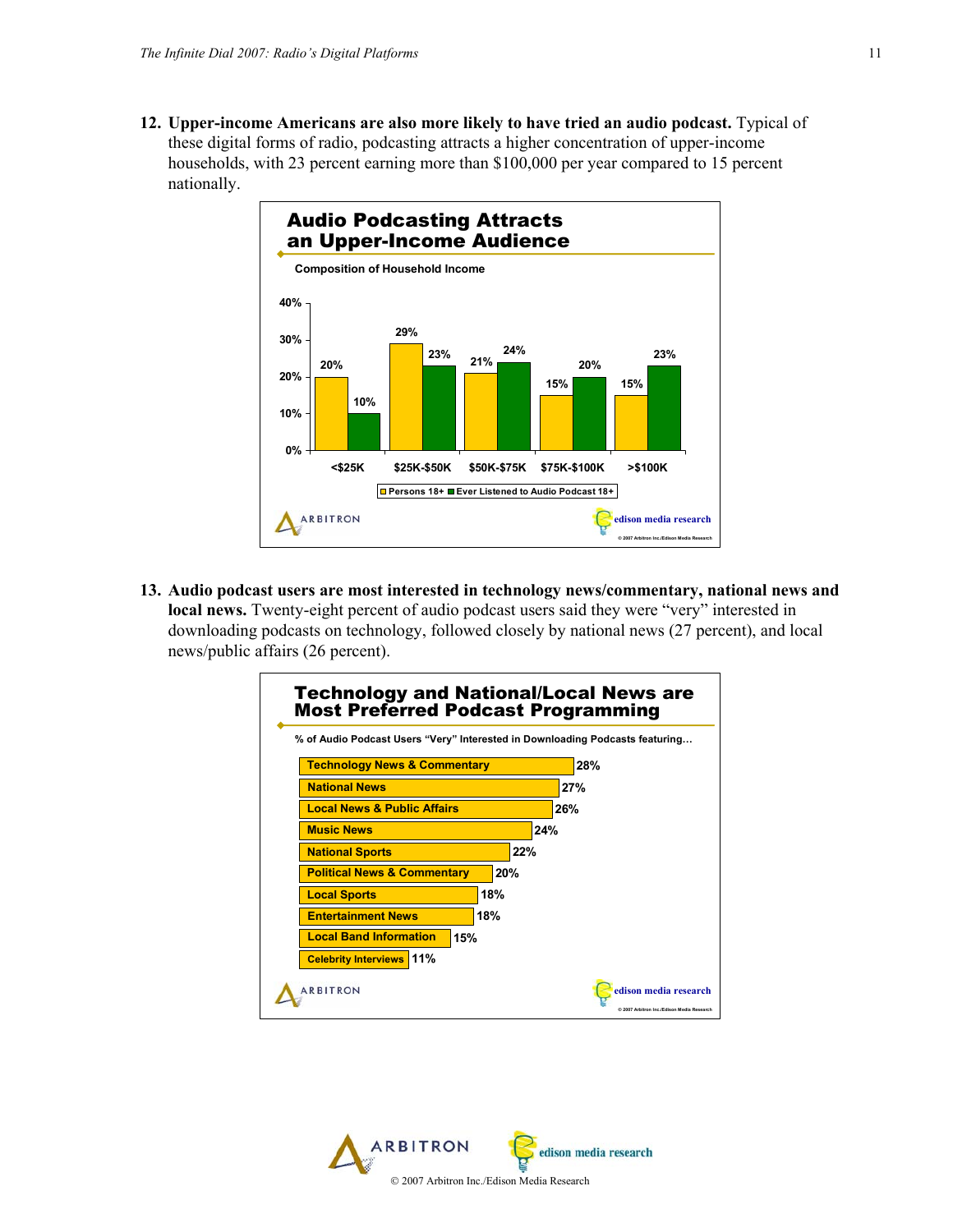**12. Upper-income Americans are also more likely to have tried an audio podcast.** Typical of these digital forms of radio, podcasting attracts a higher concentration of upper-income households, with 23 percent earning more than \$100,000 per year compared to 15 percent nationally.



**13. Audio podcast users are most interested in technology news/commentary, national news and local news.** Twenty-eight percent of audio podcast users said they were "very" interested in downloading podcasts on technology, followed closely by national news (27 percent), and local news/public affairs (26 percent).

| <b>Technology and National/Local News are</b><br><b>Most Preferred Podcast Programming</b><br>% of Audio Podcast Users "Very" Interested in Downloading Podcasts featuring |     |                                                                     |
|----------------------------------------------------------------------------------------------------------------------------------------------------------------------------|-----|---------------------------------------------------------------------|
| <b>Technology News &amp; Commentary</b>                                                                                                                                    |     | 28%                                                                 |
| <b>National News</b>                                                                                                                                                       |     | 27%                                                                 |
| <b>Local News &amp; Public Affairs</b>                                                                                                                                     |     | 26%                                                                 |
| <b>Music News</b>                                                                                                                                                          |     | 24%                                                                 |
| <b>National Sports</b>                                                                                                                                                     | 22% |                                                                     |
| <b>Political News &amp; Commentary</b>                                                                                                                                     | 20% |                                                                     |
| 18%<br><b>Local Sports</b>                                                                                                                                                 |     |                                                                     |
| <b>Entertainment News</b><br>18%                                                                                                                                           |     |                                                                     |
| <b>Local Band Information</b><br>15%                                                                                                                                       |     |                                                                     |
| <b>Celebrity Interviews 11%</b>                                                                                                                                            |     |                                                                     |
| <b>ARBITRON</b>                                                                                                                                                            |     | edison media research<br>© 2007 Arbitron Inc./Edison Media Research |

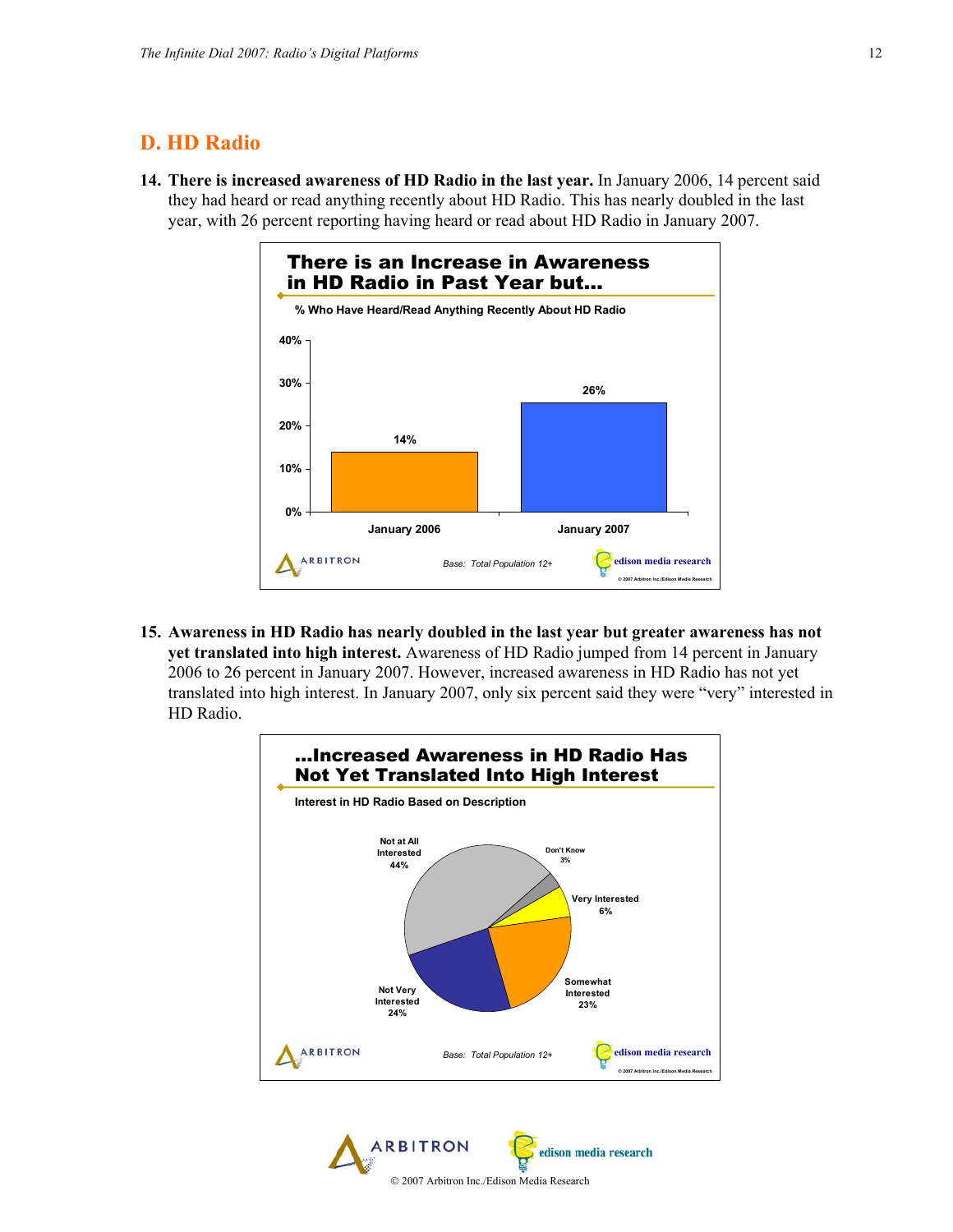### **D. HD Radio**

**14. There is increased awareness of HD Radio in the last year.** In January 2006, 14 percent said they had heard or read anything recently about HD Radio. This has nearly doubled in the last year, with 26 percent reporting having heard or read about HD Radio in January 2007.



**15. Awareness in HD Radio has nearly doubled in the last year but greater awareness has not yet translated into high interest.** Awareness of HD Radio jumped from 14 percent in January 2006 to 26 percent in January 2007. However, increased awareness in HD Radio has not yet translated into high interest. In January 2007, only six percent said they were "very" interested in HD Radio.



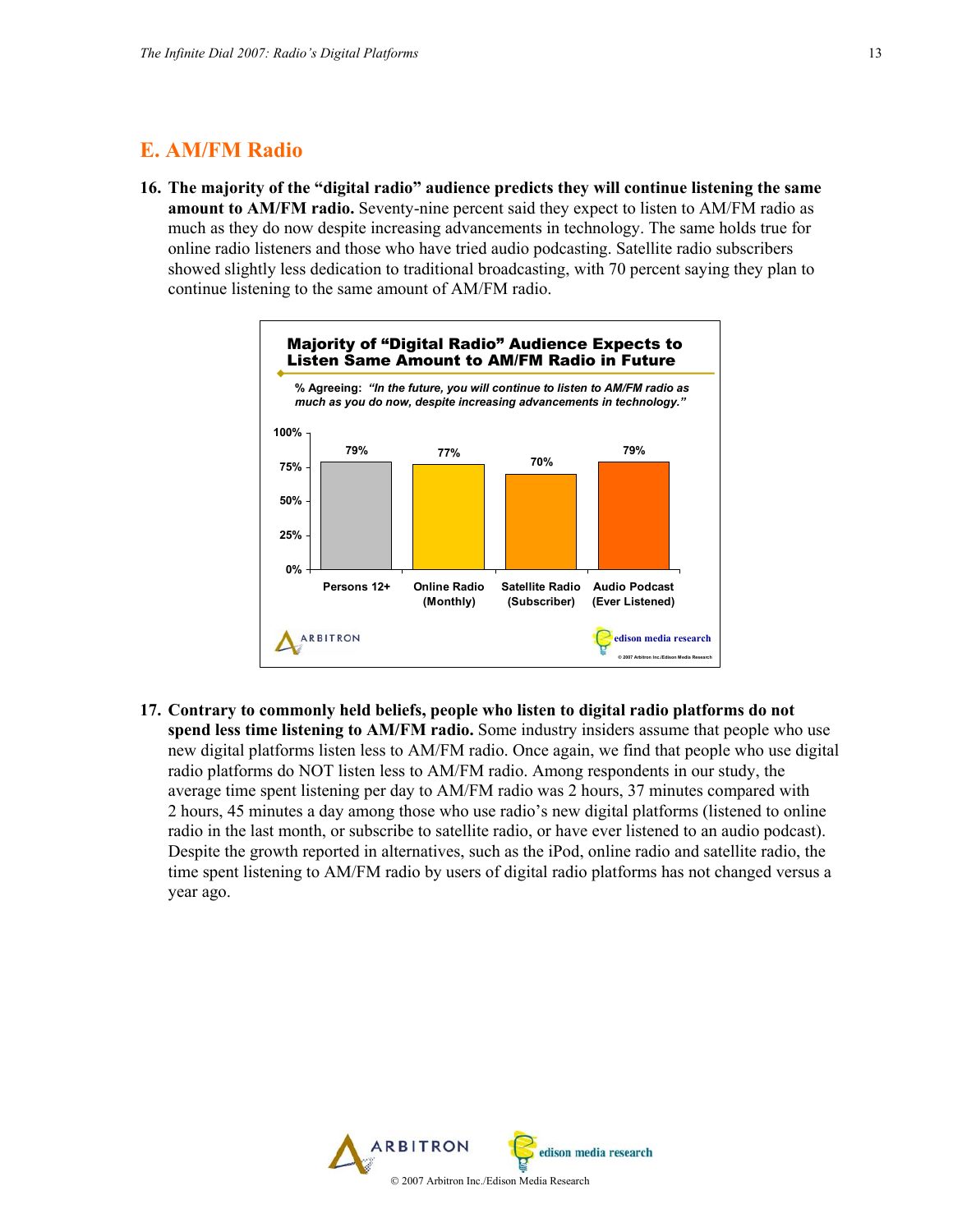### **E. AM/FM Radio**

**16. The majority of the "digital radio" audience predicts they will continue listening the same amount to AM/FM radio.** Seventy-nine percent said they expect to listen to AM/FM radio as much as they do now despite increasing advancements in technology. The same holds true for online radio listeners and those who have tried audio podcasting. Satellite radio subscribers showed slightly less dedication to traditional broadcasting, with 70 percent saying they plan to continue listening to the same amount of AM/FM radio.



**17. Contrary to commonly held beliefs, people who listen to digital radio platforms do not spend less time listening to AM/FM radio.** Some industry insiders assume that people who use new digital platforms listen less to AM/FM radio. Once again, we find that people who use digital radio platforms do NOT listen less to AM/FM radio. Among respondents in our study, the average time spent listening per day to AM/FM radio was 2 hours, 37 minutes compared with 2 hours, 45 minutes a day among those who use radio's new digital platforms (listened to online radio in the last month, or subscribe to satellite radio, or have ever listened to an audio podcast). Despite the growth reported in alternatives, such as the iPod, online radio and satellite radio, the time spent listening to AM/FM radio by users of digital radio platforms has not changed versus a year ago.

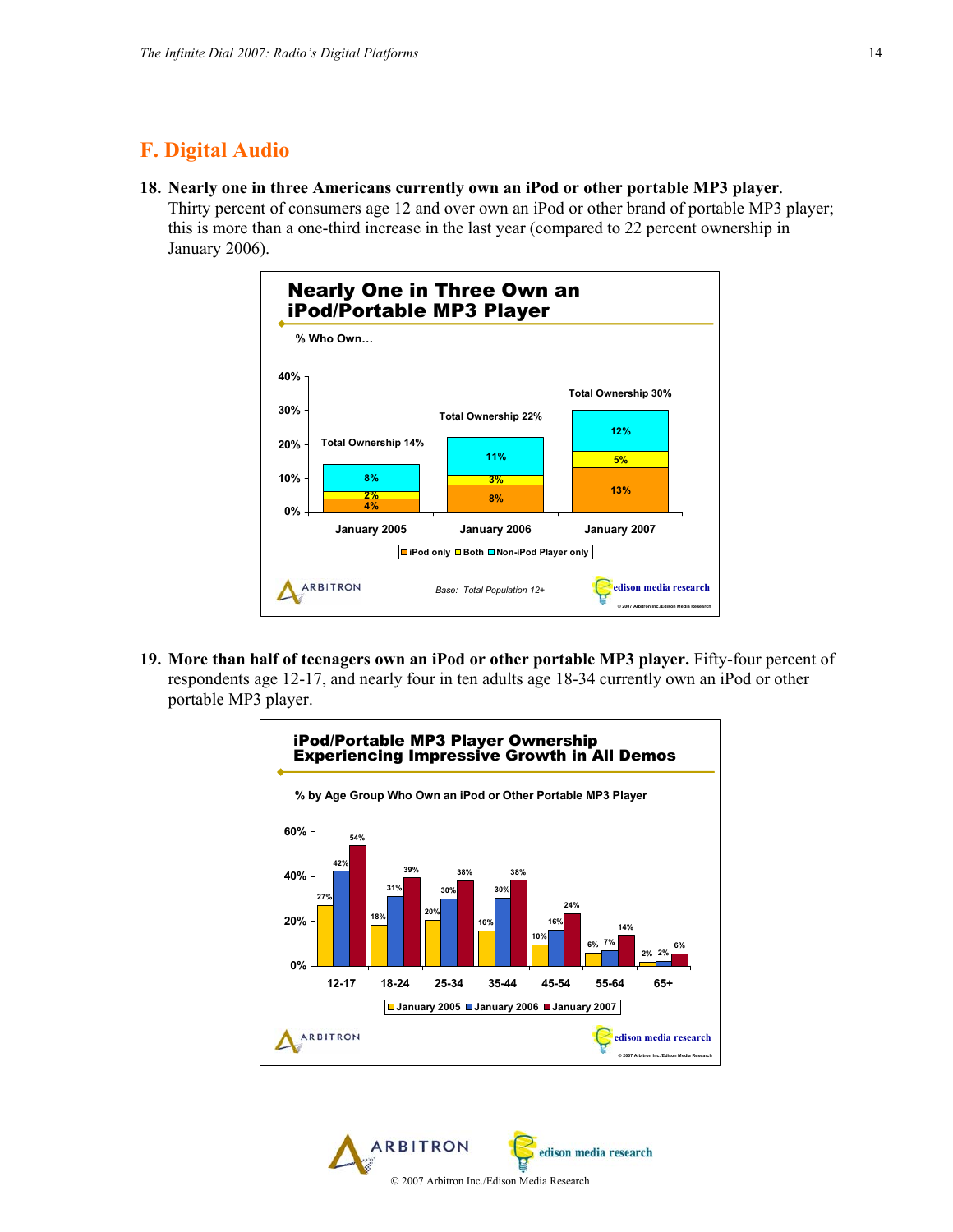# **F. Digital Audio**

**18. Nearly one in three Americans currently own an iPod or other portable MP3 player**. Thirty percent of consumers age 12 and over own an iPod or other brand of portable MP3 player; this is more than a one-third increase in the last year (compared to 22 percent ownership in January 2006).



**19. More than half of teenagers own an iPod or other portable MP3 player.** Fifty-four percent of respondents age 12-17, and nearly four in ten adults age 18-34 currently own an iPod or other portable MP3 player.



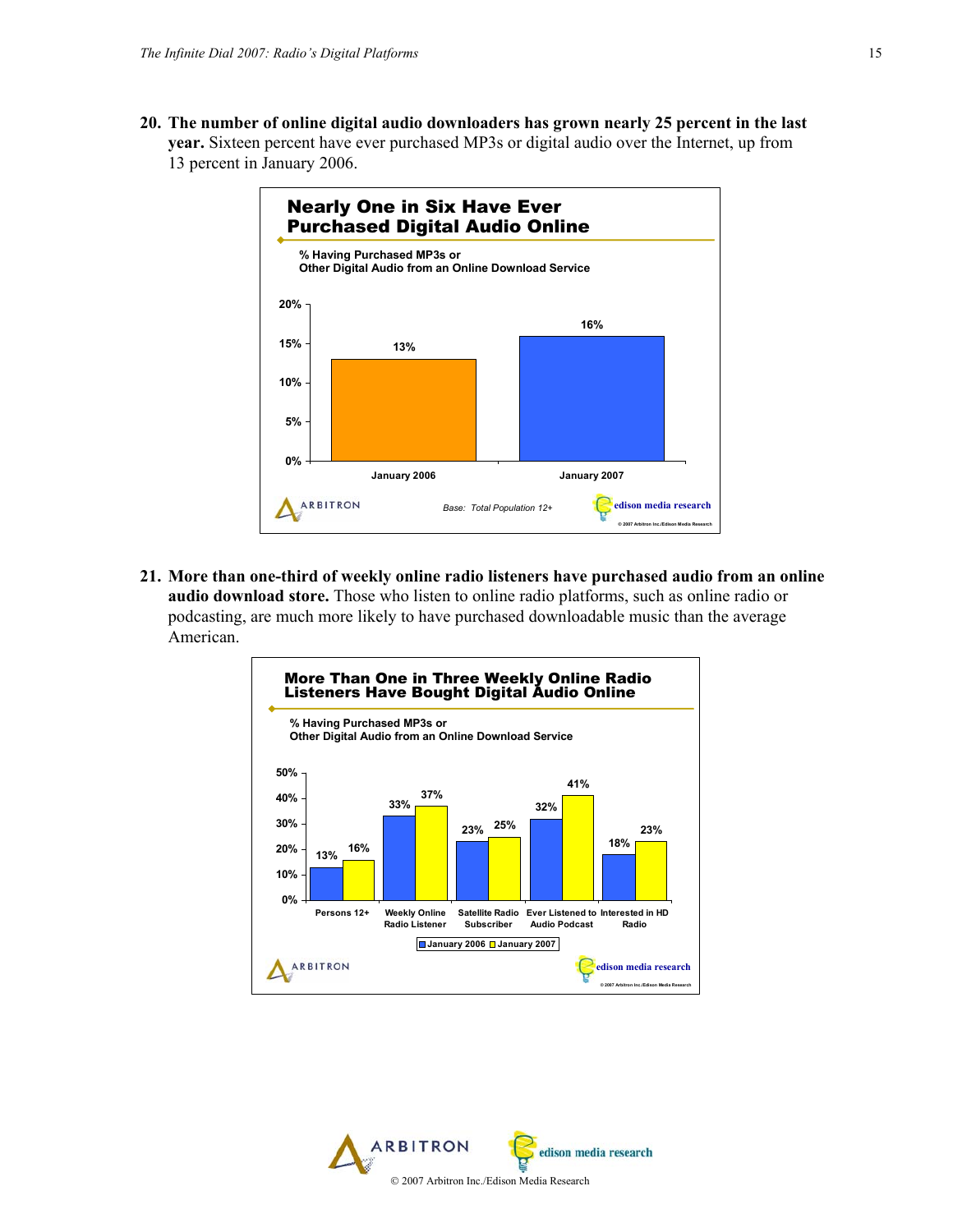**20. The number of online digital audio downloaders has grown nearly 25 percent in the last year.** Sixteen percent have ever purchased MP3s or digital audio over the Internet, up from 13 percent in January 2006.



**21. More than one-third of weekly online radio listeners have purchased audio from an online audio download store.** Those who listen to online radio platforms, such as online radio or podcasting, are much more likely to have purchased downloadable music than the average American.



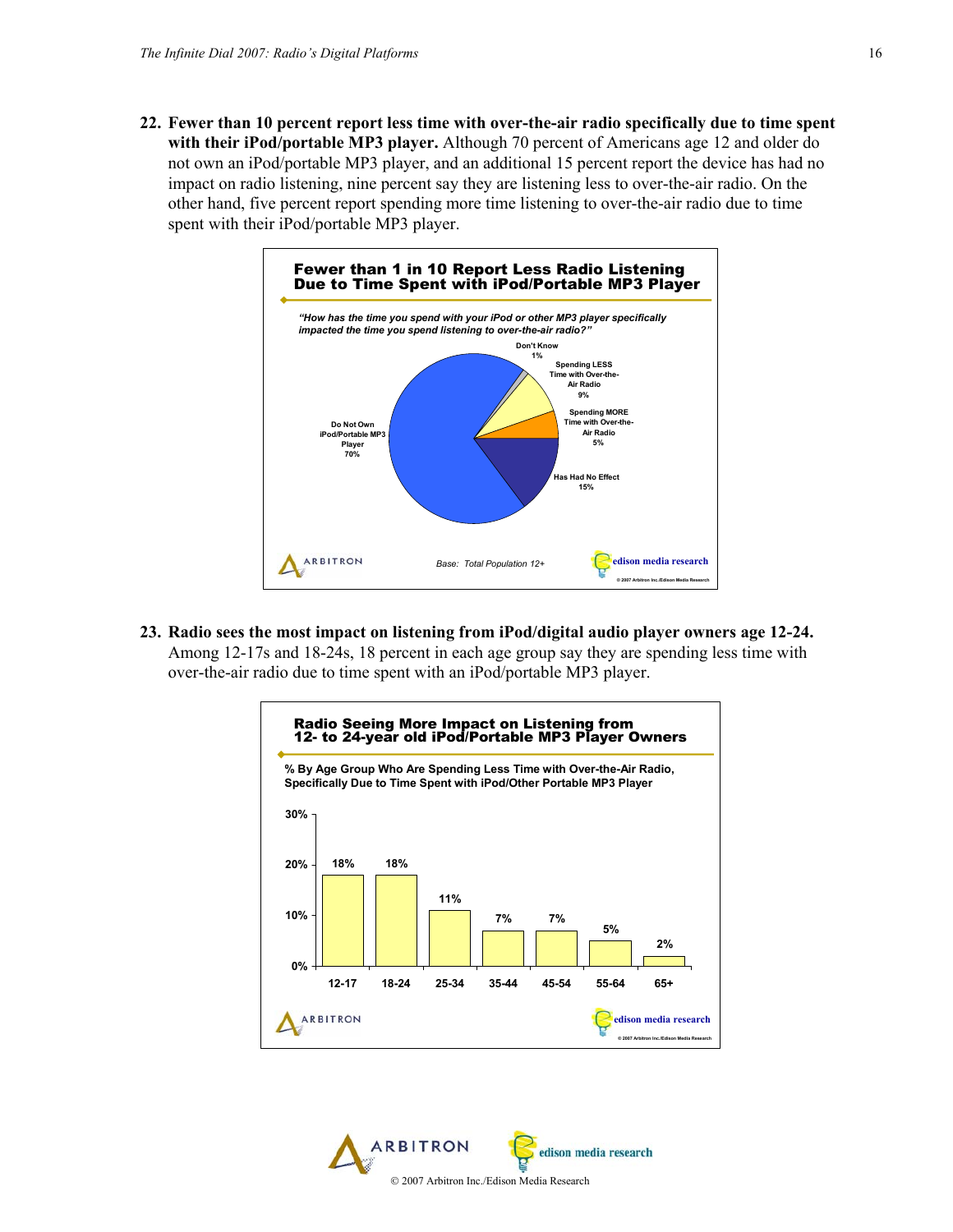**22. Fewer than 10 percent report less time with over-the-air radio specifically due to time spent with their iPod/portable MP3 player.** Although 70 percent of Americans age 12 and older do not own an iPod/portable MP3 player, and an additional 15 percent report the device has had no impact on radio listening, nine percent say they are listening less to over-the-air radio. On the other hand, five percent report spending more time listening to over-the-air radio due to time spent with their iPod/portable MP3 player.



**23. Radio sees the most impact on listening from iPod/digital audio player owners age 12-24.** Among 12-17s and 18-24s, 18 percent in each age group say they are spending less time with over-the-air radio due to time spent with an iPod/portable MP3 player.



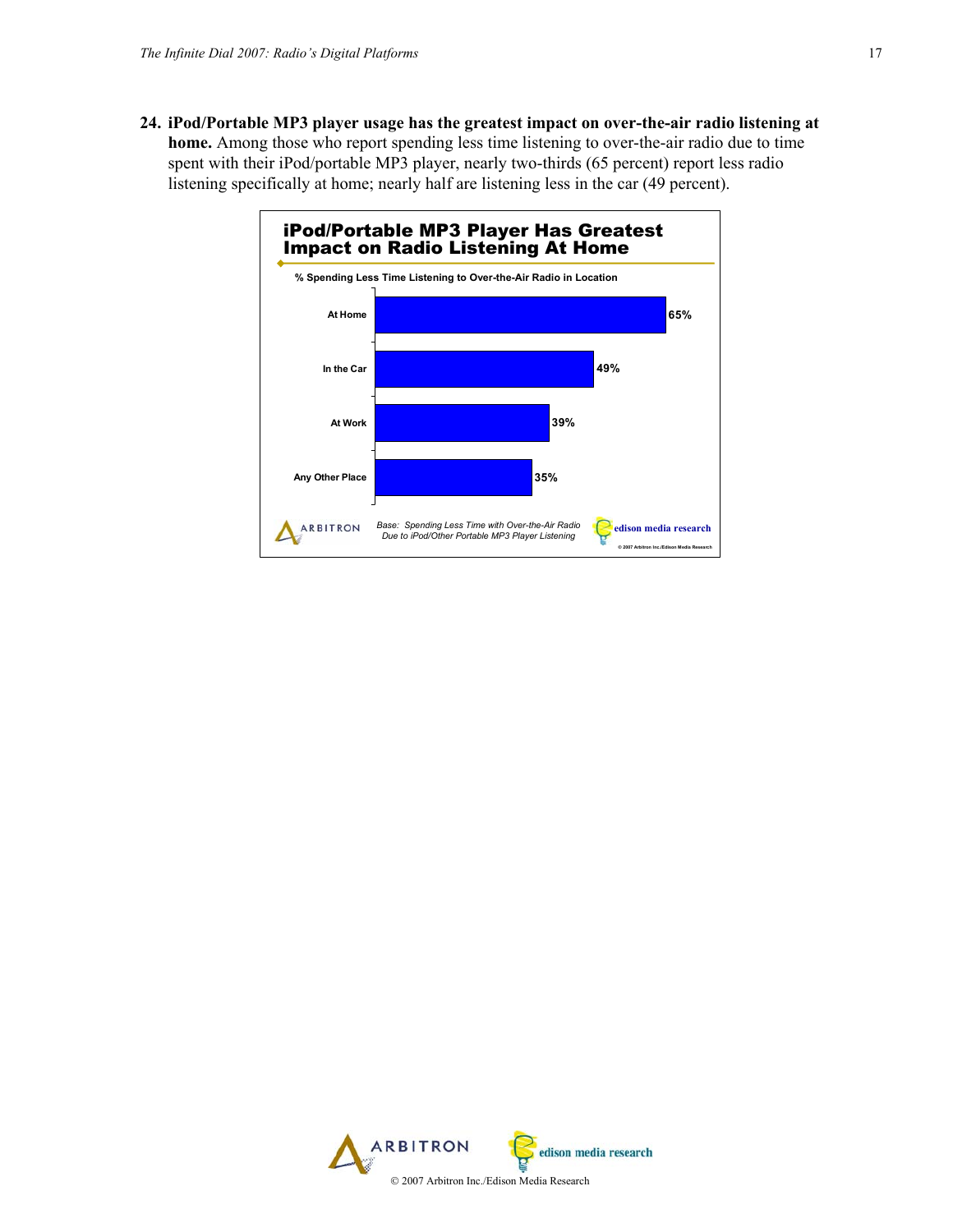**24. iPod/Portable MP3 player usage has the greatest impact on over-the-air radio listening at home.** Among those who report spending less time listening to over-the-air radio due to time spent with their iPod/portable MP3 player, nearly two-thirds (65 percent) report less radio listening specifically at home; nearly half are listening less in the car (49 percent).



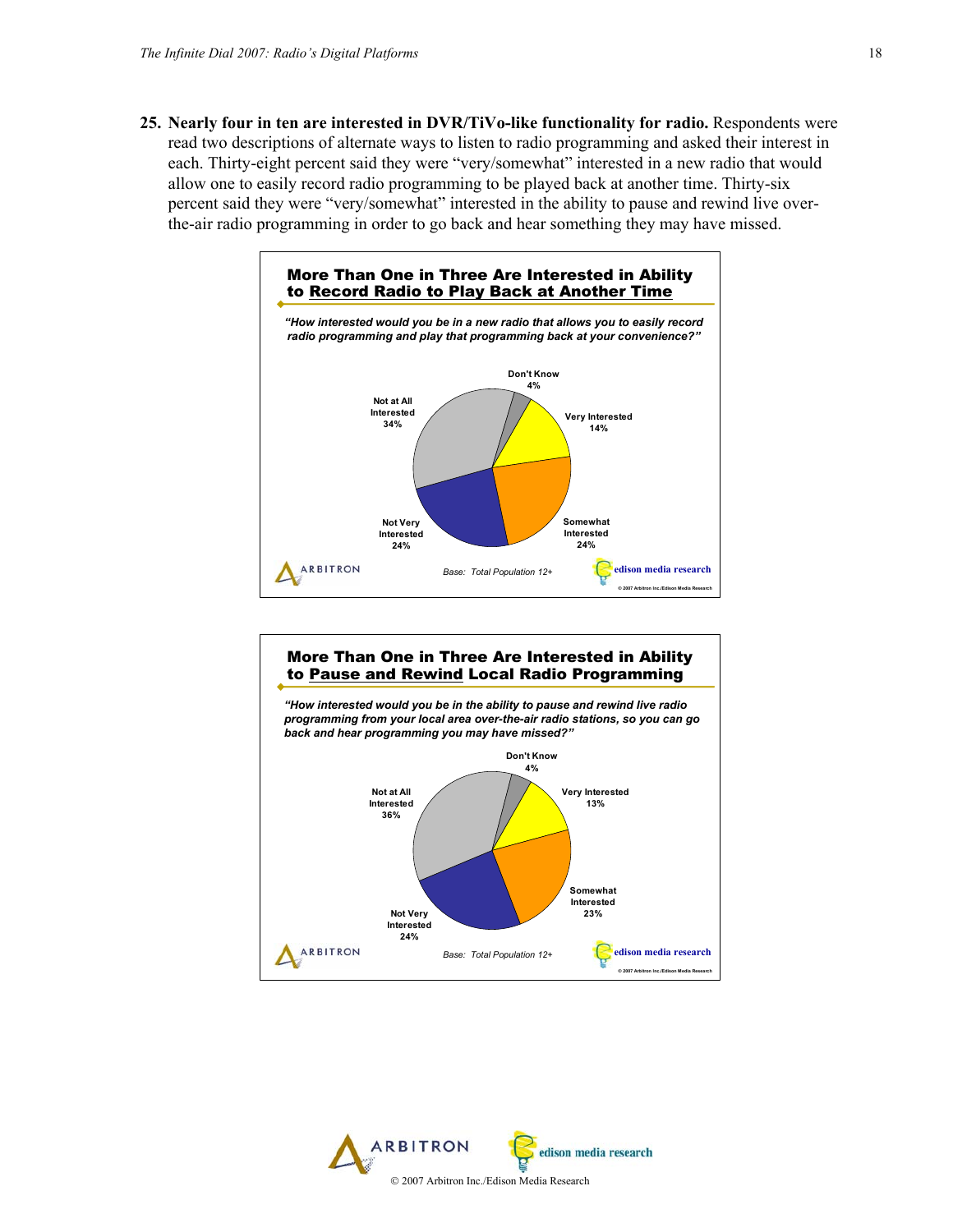**25. Nearly four in ten are interested in DVR/TiVo-like functionality for radio.** Respondents were read two descriptions of alternate ways to listen to radio programming and asked their interest in each. Thirty-eight percent said they were "very/somewhat" interested in a new radio that would allow one to easily record radio programming to be played back at another time. Thirty-six percent said they were "very/somewhat" interested in the ability to pause and rewind live overthe-air radio programming in order to go back and hear something they may have missed.





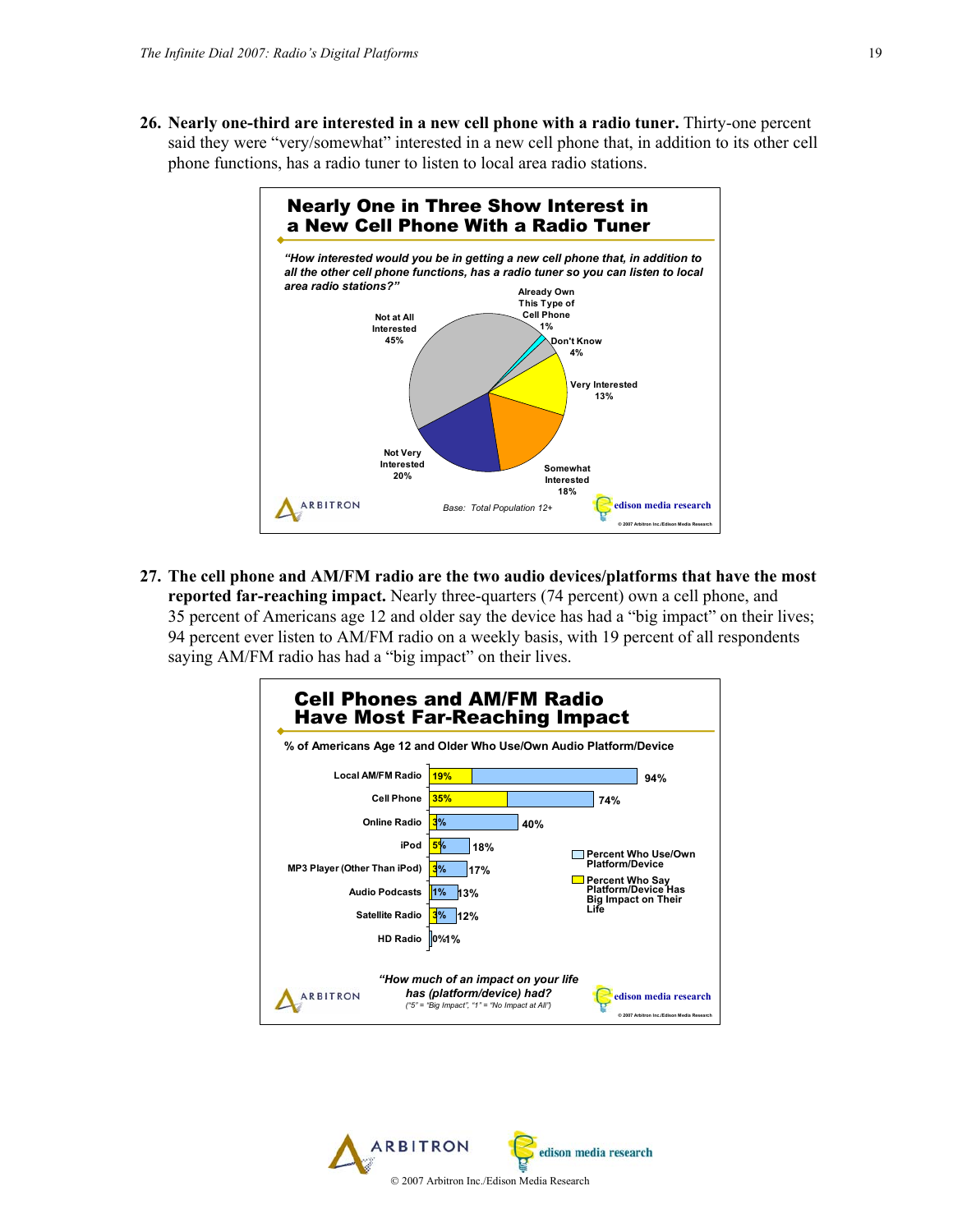**26. Nearly one-third are interested in a new cell phone with a radio tuner.** Thirty-one percent said they were "very/somewhat" interested in a new cell phone that, in addition to its other cell phone functions, has a radio tuner to listen to local area radio stations.



**27. The cell phone and AM/FM radio are the two audio devices/platforms that have the most reported far-reaching impact.** Nearly three-quarters (74 percent) own a cell phone, and 35 percent of Americans age 12 and older say the device has had a "big impact" on their lives; 94 percent ever listen to AM/FM radio on a weekly basis, with 19 percent of all respondents saying AM/FM radio has had a "big impact" on their lives.



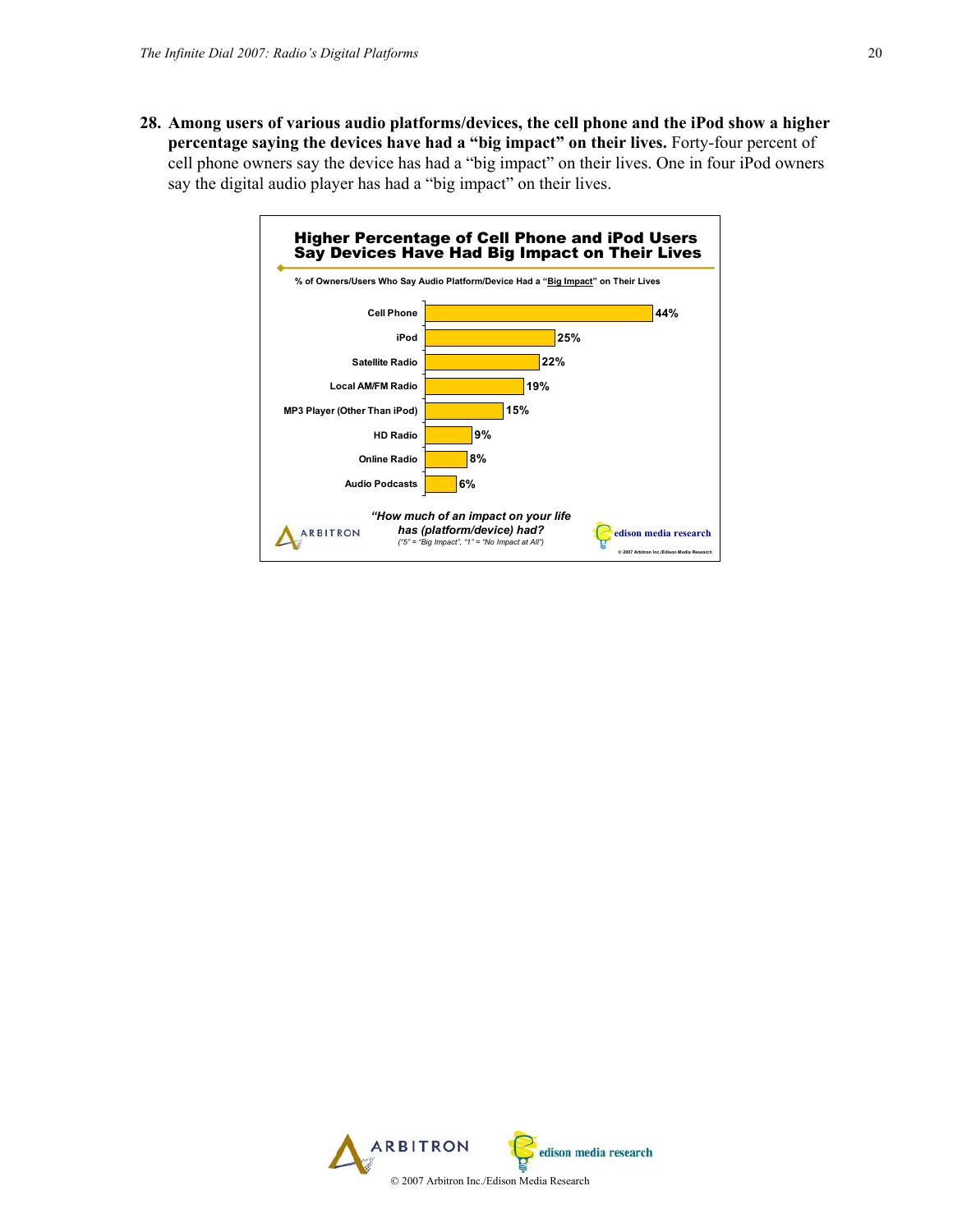**28. Among users of various audio platforms/devices, the cell phone and the iPod show a higher percentage saying the devices have had a "big impact" on their lives.** Forty-four percent of cell phone owners say the device has had a "big impact" on their lives. One in four iPod owners say the digital audio player has had a "big impact" on their lives.



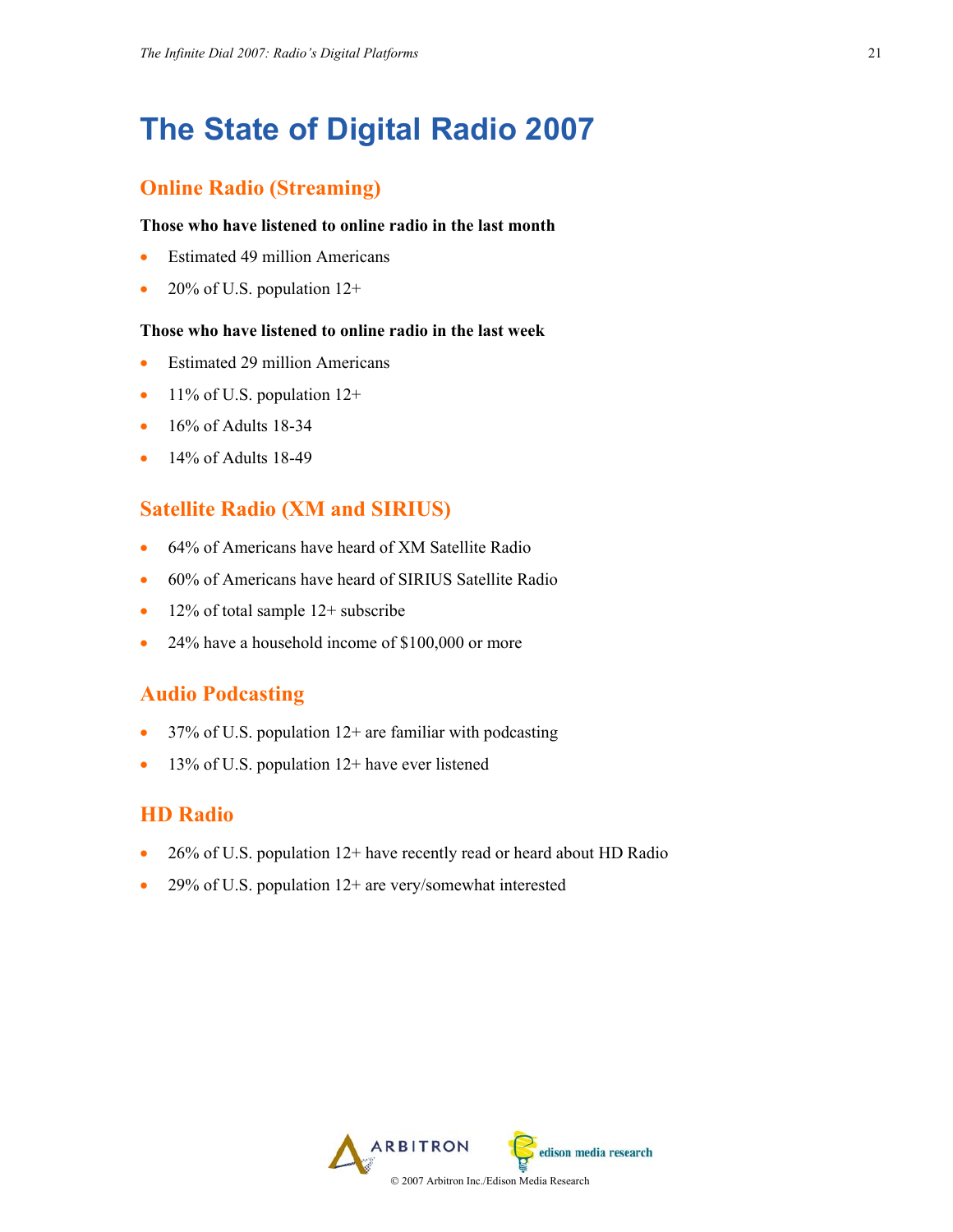# **The State of Digital Radio 2007**

# **Online Radio (Streaming)**

#### **Those who have listened to online radio in the last month**

- Estimated 49 million Americans
- 20% of U.S. population  $12+$

#### **Those who have listened to online radio in the last week**

- Estimated 29 million Americans
- 11% of U.S. population  $12+$
- $\bullet$  16% of Adults 18-34
- $\bullet$  14% of Adults 18-49

## **Satellite Radio (XM and SIRIUS)**

- 64% of Americans have heard of XM Satellite Radio
- 60% of Americans have heard of SIRIUS Satellite Radio
- 12% of total sample 12+ subscribe
- 24% have a household income of \$100,000 or more

### **Audio Podcasting**

- 37% of U.S. population  $12+$  are familiar with podcasting
- 13% of U.S. population 12+ have ever listened

# **HD Radio**

- 26% of U.S. population 12+ have recently read or heard about HD Radio
- 29% of U.S. population 12+ are very/somewhat interested

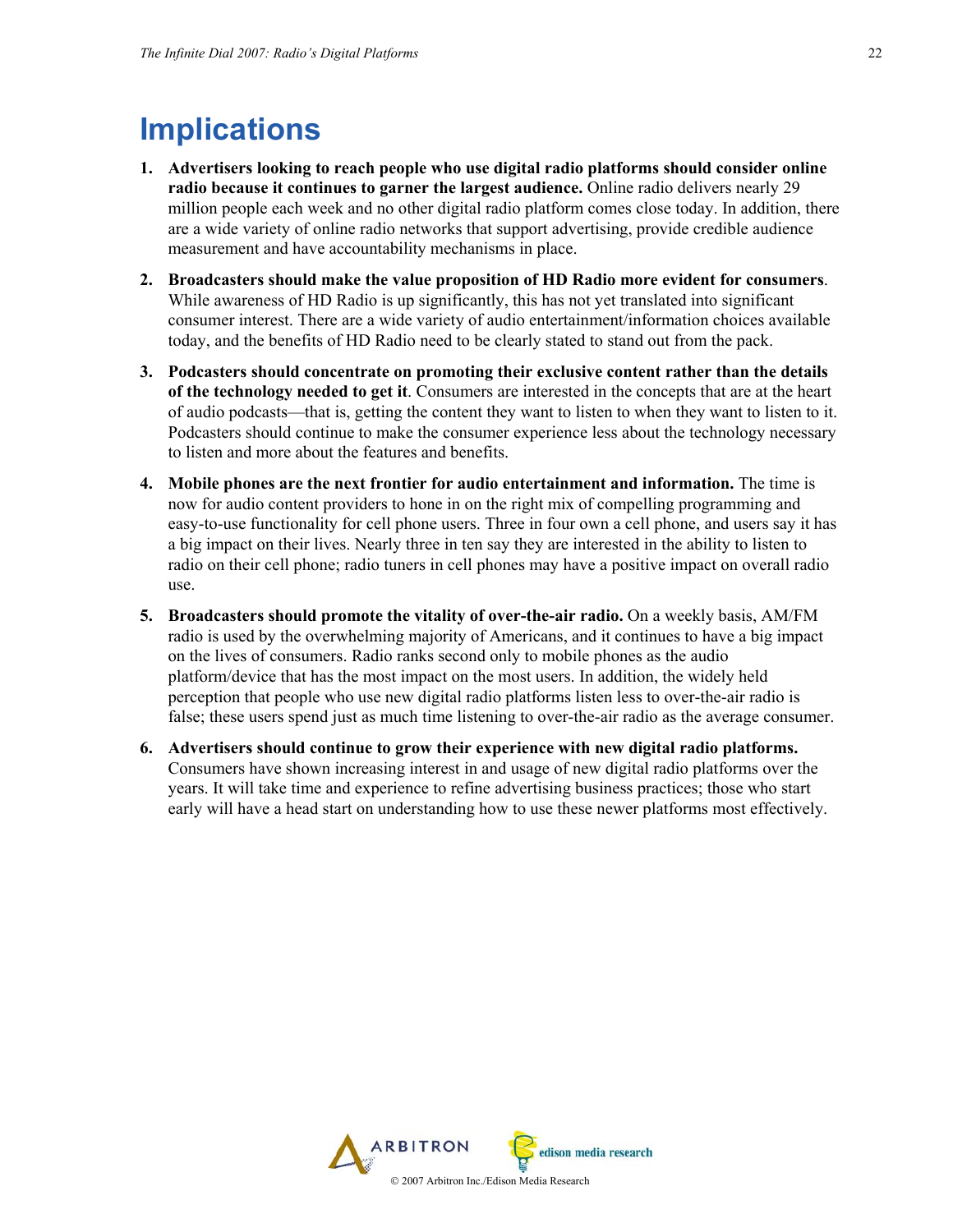# **Implications**

- **1. Advertisers looking to reach people who use digital radio platforms should consider online radio because it continues to garner the largest audience.** Online radio delivers nearly 29 million people each week and no other digital radio platform comes close today. In addition, there are a wide variety of online radio networks that support advertising, provide credible audience measurement and have accountability mechanisms in place.
- **2. Broadcasters should make the value proposition of HD Radio more evident for consumers**. While awareness of HD Radio is up significantly, this has not yet translated into significant consumer interest. There are a wide variety of audio entertainment/information choices available today, and the benefits of HD Radio need to be clearly stated to stand out from the pack.
- **3. Podcasters should concentrate on promoting their exclusive content rather than the details of the technology needed to get it**. Consumers are interested in the concepts that are at the heart of audio podcasts—that is, getting the content they want to listen to when they want to listen to it. Podcasters should continue to make the consumer experience less about the technology necessary to listen and more about the features and benefits.
- **4. Mobile phones are the next frontier for audio entertainment and information.** The time is now for audio content providers to hone in on the right mix of compelling programming and easy-to-use functionality for cell phone users. Three in four own a cell phone, and users say it has a big impact on their lives. Nearly three in ten say they are interested in the ability to listen to radio on their cell phone; radio tuners in cell phones may have a positive impact on overall radio use.
- **5. Broadcasters should promote the vitality of over-the-air radio.** On a weekly basis, AM/FM radio is used by the overwhelming majority of Americans, and it continues to have a big impact on the lives of consumers. Radio ranks second only to mobile phones as the audio platform/device that has the most impact on the most users. In addition, the widely held perception that people who use new digital radio platforms listen less to over-the-air radio is false; these users spend just as much time listening to over-the-air radio as the average consumer.
- **6. Advertisers should continue to grow their experience with new digital radio platforms.** Consumers have shown increasing interest in and usage of new digital radio platforms over the years. It will take time and experience to refine advertising business practices; those who start early will have a head start on understanding how to use these newer platforms most effectively.

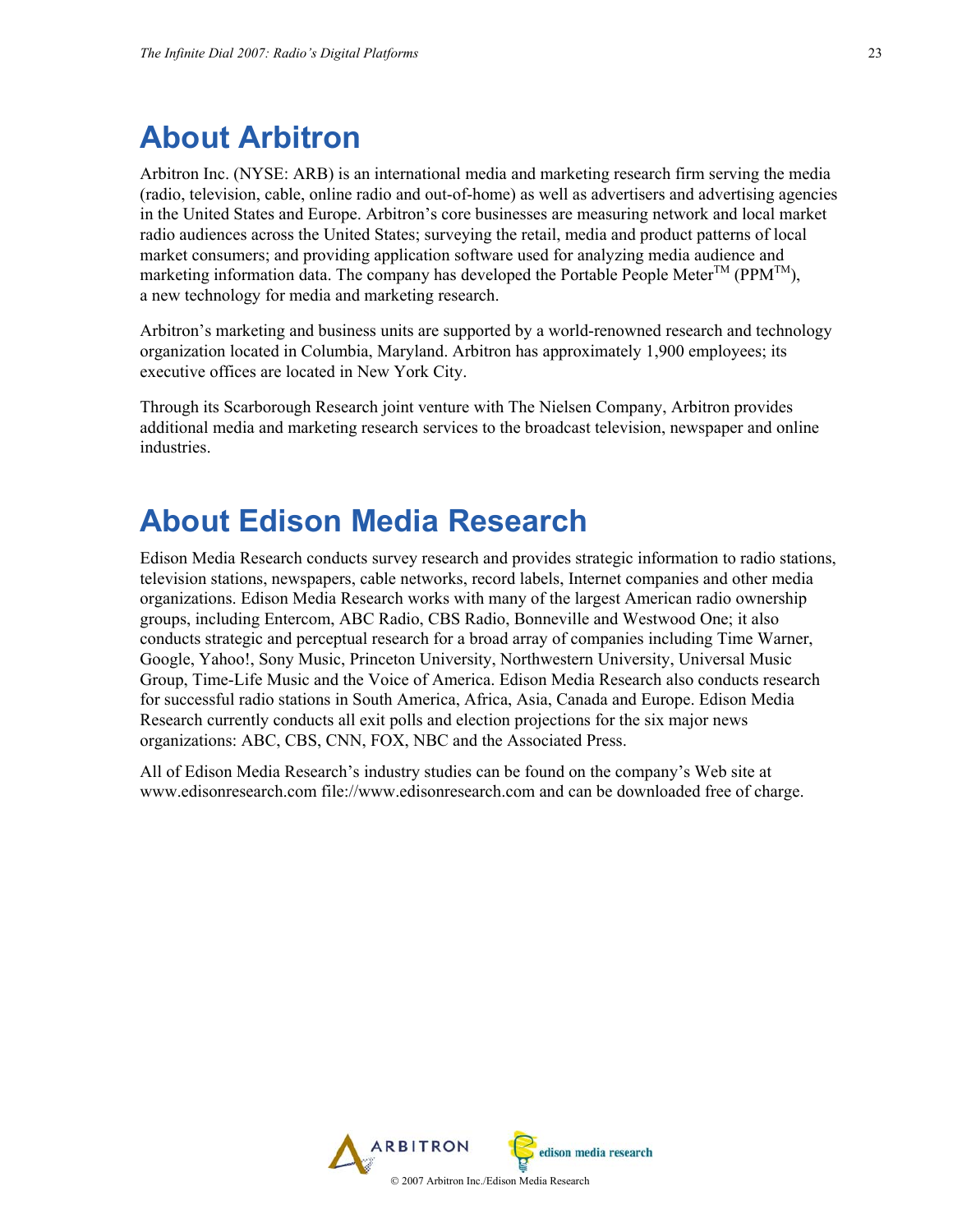# **About Arbitron**

Arbitron Inc. (NYSE: ARB) is an international media and marketing research firm serving the media (radio, television, cable, online radio and out-of-home) as well as advertisers and advertising agencies in the United States and Europe. Arbitron's core businesses are measuring network and local market radio audiences across the United States; surveying the retail, media and product patterns of local market consumers; and providing application software used for analyzing media audience and marketing information data. The company has developed the Portable People Meter<sup>TM</sup> (PPM<sup>TM</sup>), a new technology for media and marketing research.

Arbitron's marketing and business units are supported by a world-renowned research and technology organization located in Columbia, Maryland. Arbitron has approximately 1,900 employees; its executive offices are located in New York City.

Through its Scarborough Research joint venture with The Nielsen Company, Arbitron provides additional media and marketing research services to the broadcast television, newspaper and online industries.

# **About Edison Media Research**

Edison Media Research conducts survey research and provides strategic information to radio stations, television stations, newspapers, cable networks, record labels, Internet companies and other media organizations. Edison Media Research works with many of the largest American radio ownership groups, including Entercom, ABC Radio, CBS Radio, Bonneville and Westwood One; it also conducts strategic and perceptual research for a broad array of companies including Time Warner, Google, Yahoo!, Sony Music, Princeton University, Northwestern University, Universal Music Group, Time-Life Music and the Voice of America. Edison Media Research also conducts research for successful radio stations in South America, Africa, Asia, Canada and Europe. Edison Media Research currently conducts all exit polls and election projections for the six major news organizations: ABC, CBS, CNN, FOX, NBC and the Associated Press.

All of Edison Media Research's industry studies can be found on the company's Web site at www.edisonresearch.com file://www.edisonresearch.com and can be downloaded free of charge.